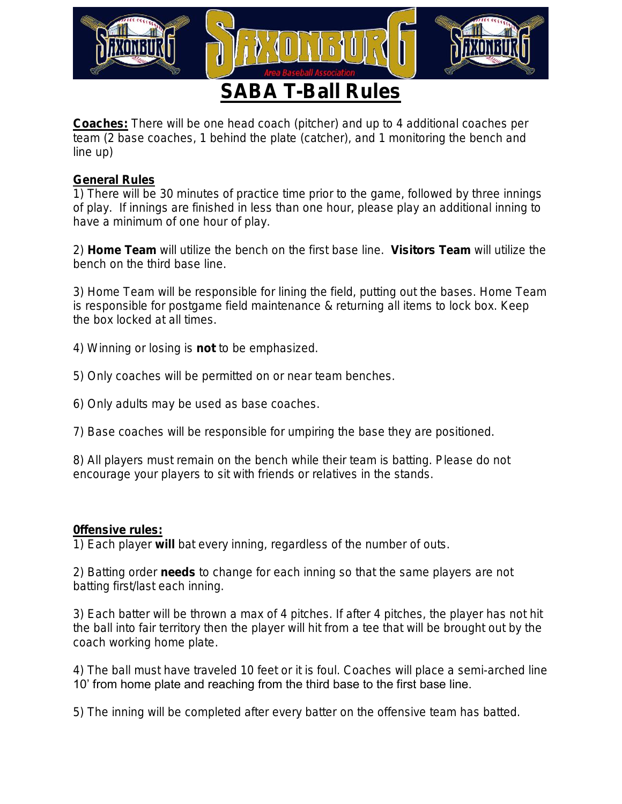

Coaches: There will be one head coach (pitcher) and up to 4 additional coaches per team (2 base coaches, 1 behind the plate (catcher), and 1 monitoring the bench and line up)

## General Rules

1) There will be 30 minutes of practice time prior to the game, followed by three innings of play. If innings are finished in less than one hour, please play an additional inning to have a minimum of one hour of play.

2) Home Team will utilize the bench on the first base line. Visitors Team will utilize the bench on the third base line.

3) Home Team will be responsible for lining the field, putting out the bases. Home Team is responsible for postgame field maintenance & returning all items to lock box. Keep the box locked at all times.

4) Winning or losing is not to be emphasized.

5) Only coaches will be permitted on or near team benches.

6) Only adults may be used as base coaches.

7) Base coaches will be responsible for umpiring the base they are positioned.

8) All players must remain on the bench while their team is batting. Please do not encourage your players to sit with friends or relatives in the stands.

## 0ffensive rules:

1) Each player will bat every inning, regardless of the number of outs.

2) Batting order needs to change for each inning so that the same players are not batting first/last each inning.

3) Each batter will be thrown a max of 4 pitches. If after 4 pitches, the player has not hit the ball into fair territory then the player will hit from a tee that will be brought out by the coach working home plate.

4) The ball must have traveled 10 feet or it is foul. Coaches will place a semi-arched line 10' from home plate and reaching from the third base to the first base line.

5) The inning will be completed after every batter on the offensive team has batted.